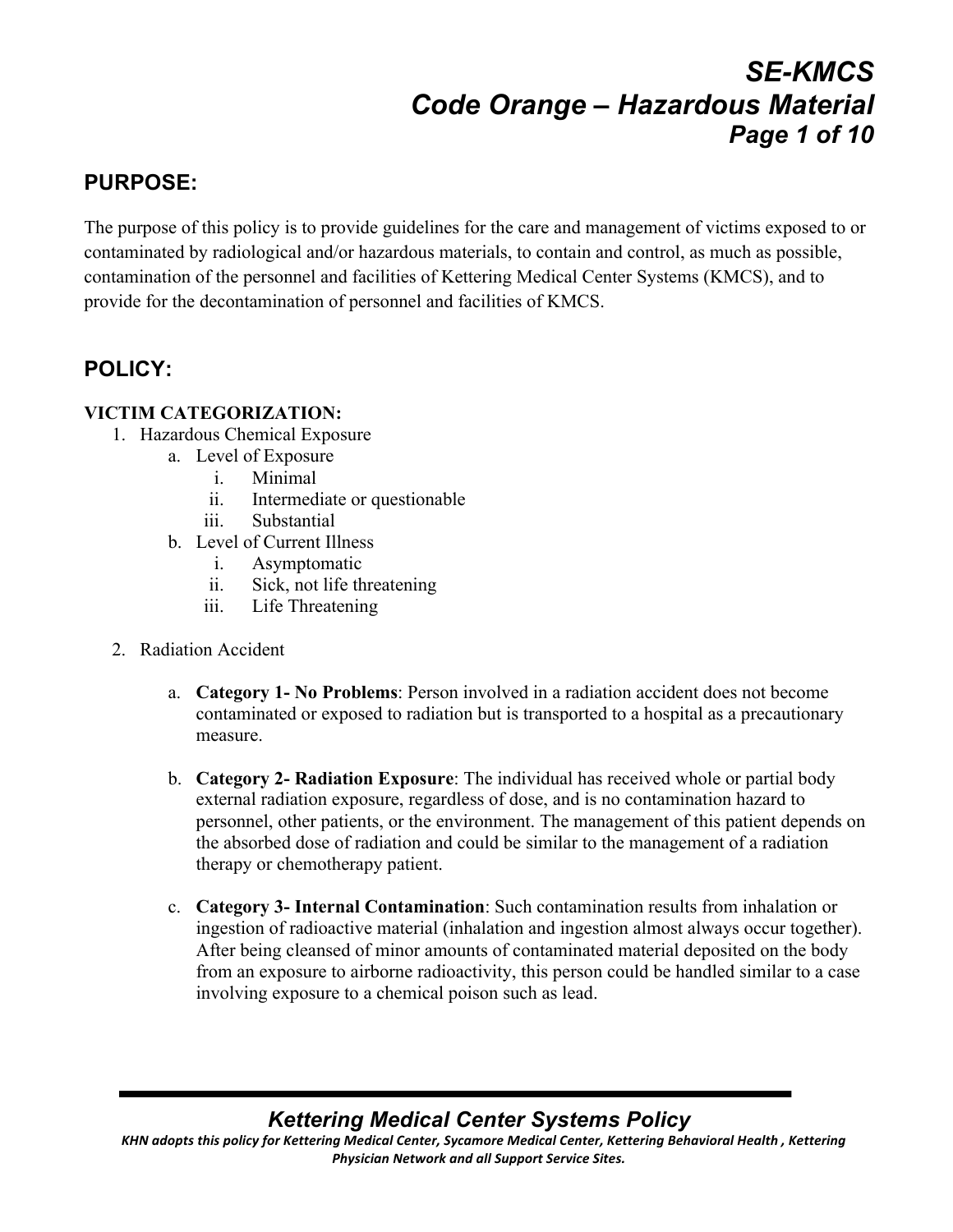# *SE-KMCS Code Orange – Hazardous Material Page 1 of 10*

## **PURPOSE:**

The purpose of this policy is to provide guidelines for the care and management of victims exposed to or contaminated by radiological and/or hazardous materials, to contain and control, as much as possible, contamination of the personnel and facilities of Kettering Medical Center Systems (KMCS), and to provide for the decontamination of personnel and facilities of KMCS.

## **POLICY:**

### **VICTIM CATEGORIZATION:**

- 1. Hazardous Chemical Exposure
	- a. Level of Exposure
		- i. Minimal
		- ii. Intermediate or questionable
		- iii. Substantial
	- b. Level of Current Illness
		- i. Asymptomatic
		- ii. Sick, not life threatening
		- iii. Life Threatening
- 2. Radiation Accident
	- a. **Category 1- No Problems**: Person involved in a radiation accident does not become contaminated or exposed to radiation but is transported to a hospital as a precautionary measure.
	- b. **Category 2- Radiation Exposure**: The individual has received whole or partial body external radiation exposure, regardless of dose, and is no contamination hazard to personnel, other patients, or the environment. The management of this patient depends on the absorbed dose of radiation and could be similar to the management of a radiation therapy or chemotherapy patient.
	- c. **Category 3- Internal Contamination**: Such contamination results from inhalation or ingestion of radioactive material (inhalation and ingestion almost always occur together). After being cleansed of minor amounts of contaminated material deposited on the body from an exposure to airborne radioactivity, this person could be handled similar to a case involving exposure to a chemical poison such as lead.

## *Kettering Medical Center Systems Policy*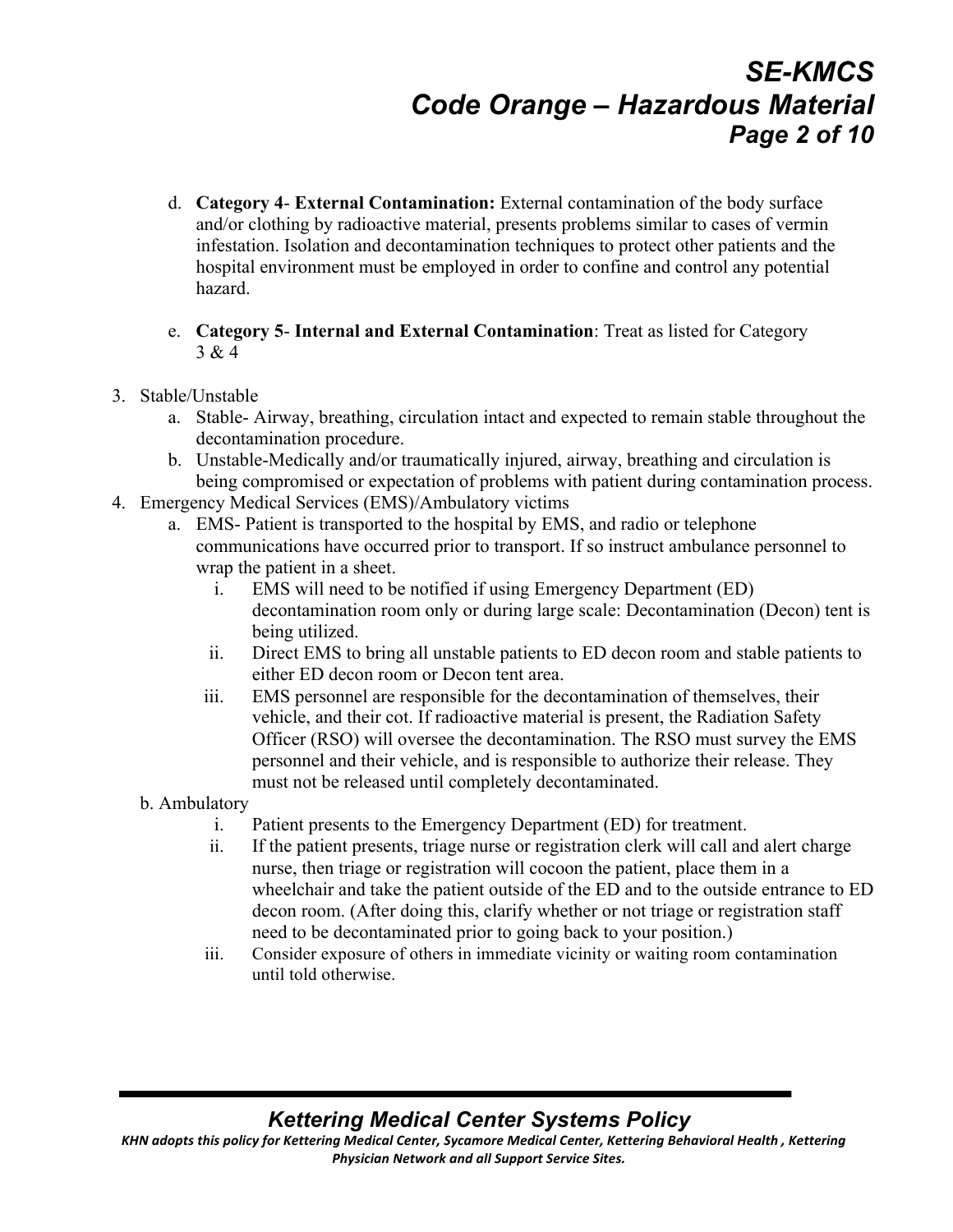# *SE-KMCS Code Orange – Hazardous Material Page 2 of 10*

- d. **Category 4 External Contamination:** External contamination of the body surface and/or clothing by radioactive material, presents problems similar to cases of vermin infestation. Isolation and decontamination techniques to protect other patients and the hospital environment must be employed in order to confine and control any potential hazard.
- e. **Category 5 Internal and External Contamination**: Treat as listed for Category 3 & 4
- 3. Stable/Unstable
	- a. Stable- Airway, breathing, circulation intact and expected to remain stable throughout the decontamination procedure.
	- b. Unstable-Medically and/or traumatically injured, airway, breathing and circulation is being compromised or expectation of problems with patient during contamination process.
- 4. Emergency Medical Services (EMS)/Ambulatory victims
	- a. EMS- Patient is transported to the hospital by EMS, and radio or telephone communications have occurred prior to transport. If so instruct ambulance personnel to wrap the patient in a sheet.
		- i. EMS will need to be notified if using Emergency Department (ED) decontamination room only or during large scale: Decontamination (Decon) tent is being utilized.
		- ii. Direct EMS to bring all unstable patients to ED decon room and stable patients to either ED decon room or Decon tent area.
		- iii. EMS personnel are responsible for the decontamination of themselves, their vehicle, and their cot. If radioactive material is present, the Radiation Safety Officer (RSO) will oversee the decontamination. The RSO must survey the EMS personnel and their vehicle, and is responsible to authorize their release. They must not be released until completely decontaminated.
	- b. Ambulatory
		- i. Patient presents to the Emergency Department (ED) for treatment.
		- ii. If the patient presents, triage nurse or registration clerk will call and alert charge nurse, then triage or registration will cocoon the patient, place them in a wheelchair and take the patient outside of the ED and to the outside entrance to ED decon room. (After doing this, clarify whether or not triage or registration staff need to be decontaminated prior to going back to your position.)
		- iii. Consider exposure of others in immediate vicinity or waiting room contamination until told otherwise.

## *Kettering Medical Center Systems Policy*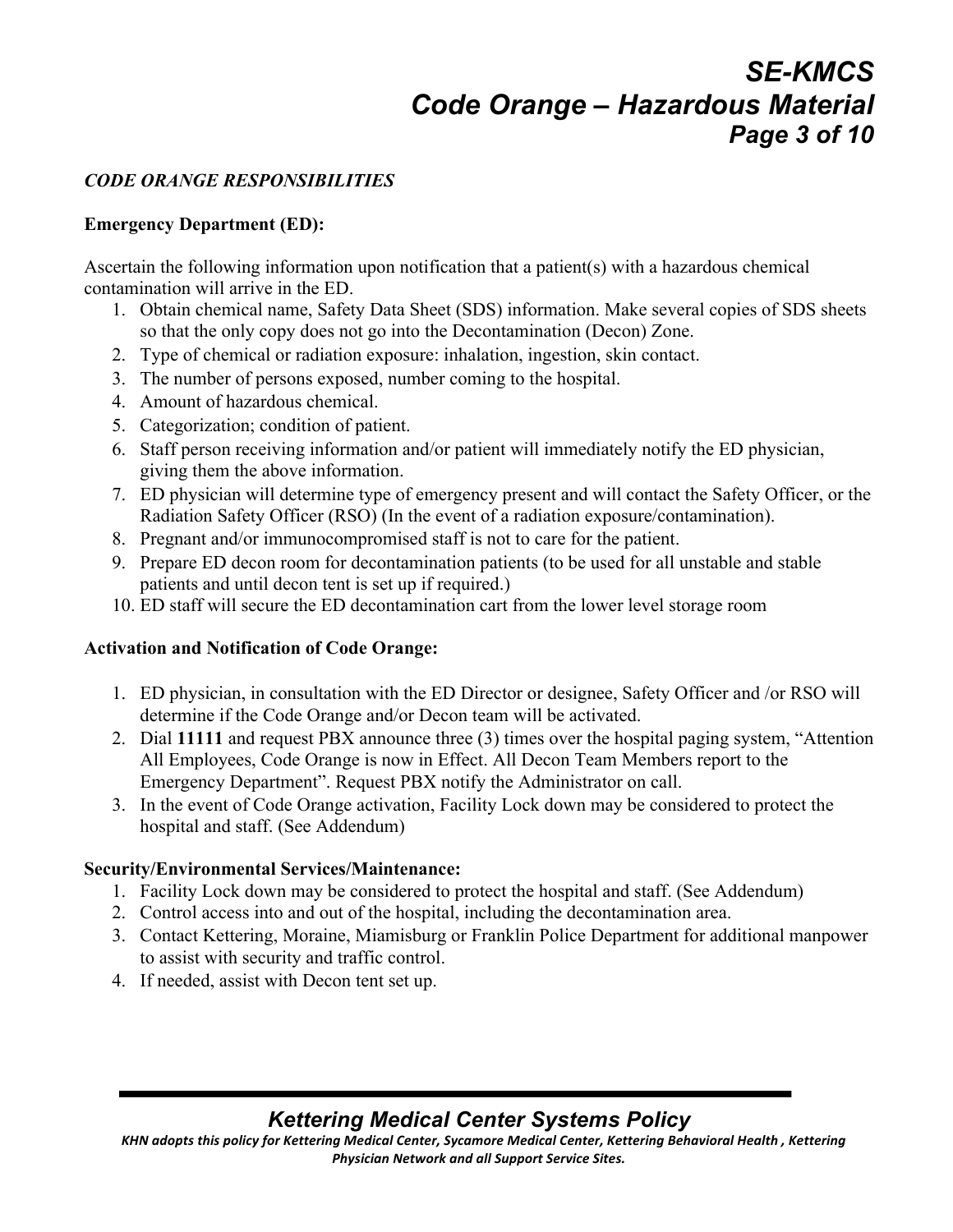# *SE-KMCS Code Orange – Hazardous Material Page 3 of 10*

#### *CODE ORANGE RESPONSIBILITIES*

#### **Emergency Department (ED):**

Ascertain the following information upon notification that a patient(s) with a hazardous chemical contamination will arrive in the ED.

- 1. Obtain chemical name, Safety Data Sheet (SDS) information. Make several copies of SDS sheets so that the only copy does not go into the Decontamination (Decon) Zone.
- 2. Type of chemical or radiation exposure: inhalation, ingestion, skin contact.
- 3. The number of persons exposed, number coming to the hospital.
- 4. Amount of hazardous chemical.
- 5. Categorization; condition of patient.
- 6. Staff person receiving information and/or patient will immediately notify the ED physician, giving them the above information.
- 7. ED physician will determine type of emergency present and will contact the Safety Officer, or the Radiation Safety Officer (RSO) (In the event of a radiation exposure/contamination).
- 8. Pregnant and/or immunocompromised staff is not to care for the patient.
- 9. Prepare ED decon room for decontamination patients (to be used for all unstable and stable patients and until decon tent is set up if required.)
- 10. ED staff will secure the ED decontamination cart from the lower level storage room

#### **Activation and Notification of Code Orange:**

- 1. ED physician, in consultation with the ED Director or designee, Safety Officer and /or RSO will determine if the Code Orange and/or Decon team will be activated.
- 2. Dial **11111** and request PBX announce three (3) times over the hospital paging system, "Attention All Employees, Code Orange is now in Effect. All Decon Team Members report to the Emergency Department". Request PBX notify the Administrator on call.
- 3. In the event of Code Orange activation, Facility Lock down may be considered to protect the hospital and staff. (See Addendum)

#### **Security/Environmental Services/Maintenance:**

- 1. Facility Lock down may be considered to protect the hospital and staff. (See Addendum)
- 2. Control access into and out of the hospital, including the decontamination area.
- 3. Contact Kettering, Moraine, Miamisburg or Franklin Police Department for additional manpower to assist with security and traffic control.
- 4. If needed, assist with Decon tent set up.

## *Kettering Medical Center Systems Policy*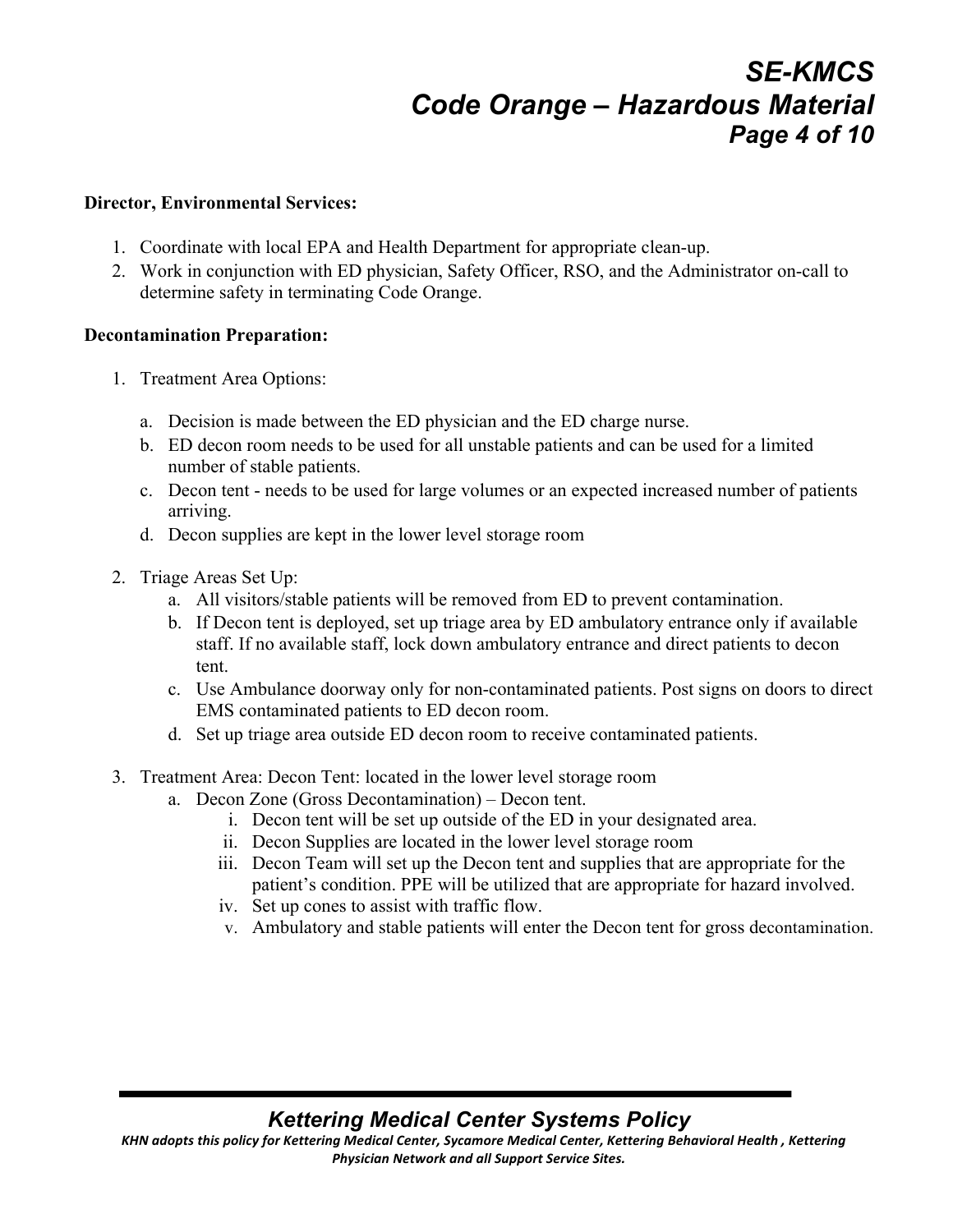# *SE-KMCS Code Orange – Hazardous Material Page 4 of 10*

#### **Director, Environmental Services:**

- 1. Coordinate with local EPA and Health Department for appropriate clean-up.
- 2. Work in conjunction with ED physician, Safety Officer, RSO, and the Administrator on-call to determine safety in terminating Code Orange.

#### **Decontamination Preparation:**

- 1. Treatment Area Options:
	- a. Decision is made between the ED physician and the ED charge nurse.
	- b. ED decon room needs to be used for all unstable patients and can be used for a limited number of stable patients.
	- c. Decon tent needs to be used for large volumes or an expected increased number of patients arriving.
	- d. Decon supplies are kept in the lower level storage room
- 2. Triage Areas Set Up:
	- a. All visitors/stable patients will be removed from ED to prevent contamination.
	- b. If Decon tent is deployed, set up triage area by ED ambulatory entrance only if available staff. If no available staff, lock down ambulatory entrance and direct patients to decon tent.
	- c. Use Ambulance doorway only for non-contaminated patients. Post signs on doors to direct EMS contaminated patients to ED decon room.
	- d. Set up triage area outside ED decon room to receive contaminated patients.
- 3. Treatment Area: Decon Tent: located in the lower level storage room
	- a. Decon Zone (Gross Decontamination) Decon tent.
		- i. Decon tent will be set up outside of the ED in your designated area.
		- ii. Decon Supplies are located in the lower level storage room
		- iii. Decon Team will set up the Decon tent and supplies that are appropriate for the patient's condition. PPE will be utilized that are appropriate for hazard involved.
		- iv. Set up cones to assist with traffic flow.
		- v. Ambulatory and stable patients will enter the Decon tent for gross decontamination.

### *Kettering Medical Center Systems Policy*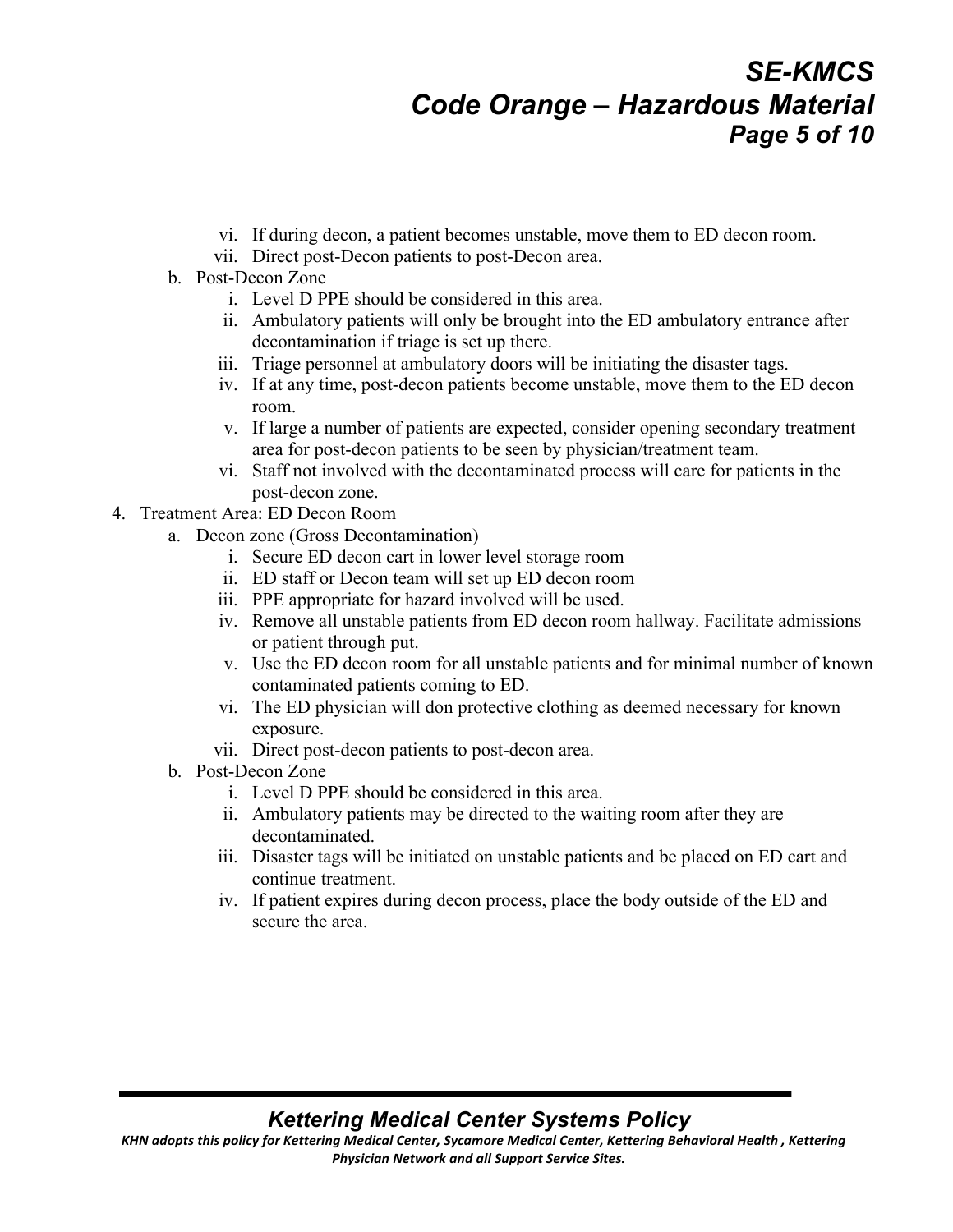# *SE-KMCS Code Orange – Hazardous Material Page 5 of 10*

- vi. If during decon, a patient becomes unstable, move them to ED decon room.
- vii. Direct post-Decon patients to post-Decon area.
- b. Post-Decon Zone
	- i. Level D PPE should be considered in this area.
	- ii. Ambulatory patients will only be brought into the ED ambulatory entrance after decontamination if triage is set up there.
	- iii. Triage personnel at ambulatory doors will be initiating the disaster tags.
	- iv. If at any time, post-decon patients become unstable, move them to the ED decon room.
	- v. If large a number of patients are expected, consider opening secondary treatment area for post-decon patients to be seen by physician/treatment team.
	- vi. Staff not involved with the decontaminated process will care for patients in the post-decon zone.
- 4. Treatment Area: ED Decon Room
	- a. Decon zone (Gross Decontamination)
		- i. Secure ED decon cart in lower level storage room
		- ii. ED staff or Decon team will set up ED decon room
		- iii. PPE appropriate for hazard involved will be used.
		- iv. Remove all unstable patients from ED decon room hallway. Facilitate admissions or patient through put.
		- v. Use the ED decon room for all unstable patients and for minimal number of known contaminated patients coming to ED.
		- vi. The ED physician will don protective clothing as deemed necessary for known exposure.
		- vii. Direct post-decon patients to post-decon area.
	- b. Post-Decon Zone
		- i. Level D PPE should be considered in this area.
		- ii. Ambulatory patients may be directed to the waiting room after they are decontaminated.
		- iii. Disaster tags will be initiated on unstable patients and be placed on ED cart and continue treatment.
		- iv. If patient expires during decon process, place the body outside of the ED and secure the area.

### *Kettering Medical Center Systems Policy*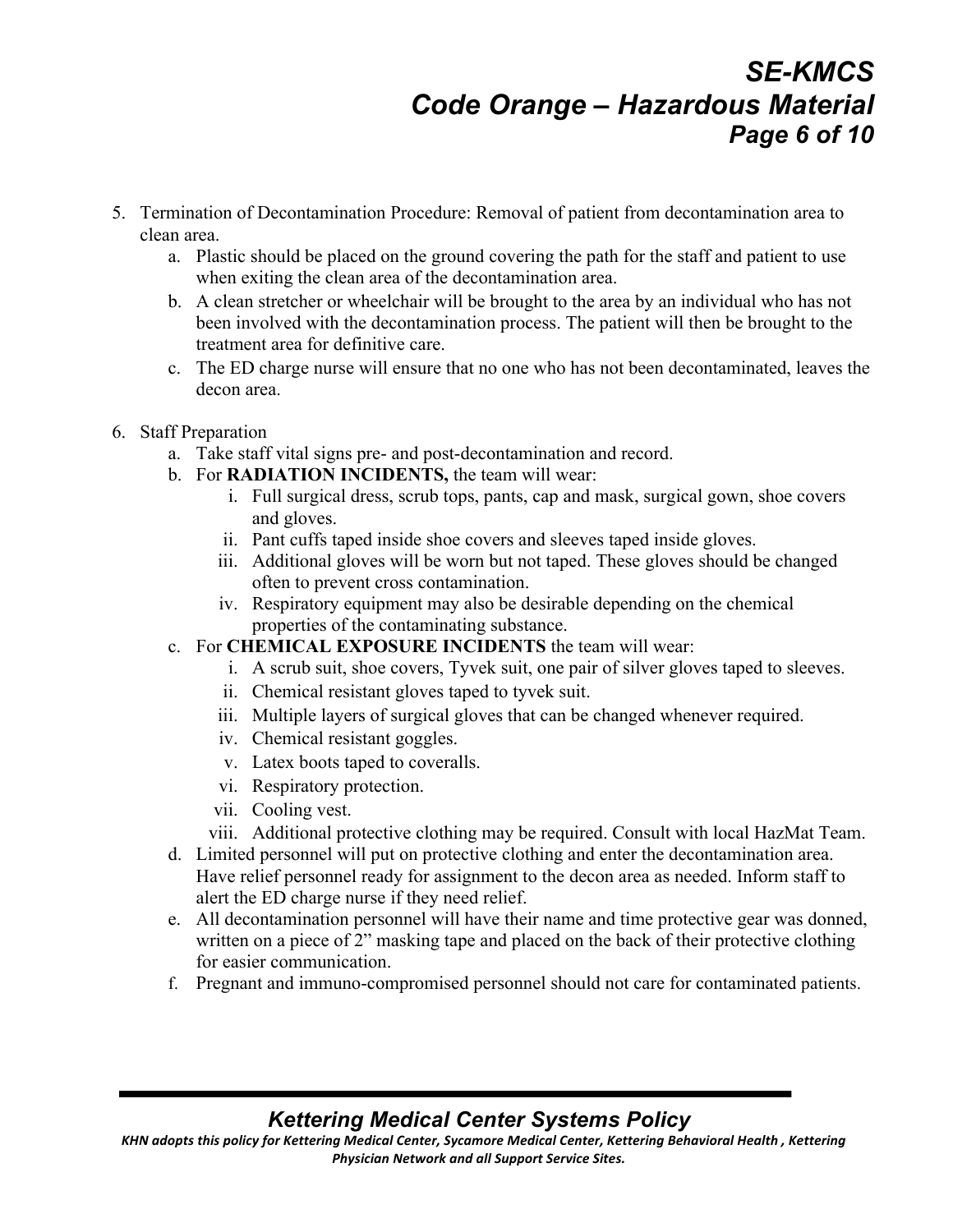# *SE-KMCS Code Orange – Hazardous Material Page 6 of 10*

- 5. Termination of Decontamination Procedure: Removal of patient from decontamination area to clean area.
	- a. Plastic should be placed on the ground covering the path for the staff and patient to use when exiting the clean area of the decontamination area.
	- b. A clean stretcher or wheelchair will be brought to the area by an individual who has not been involved with the decontamination process. The patient will then be brought to the treatment area for definitive care.
	- c. The ED charge nurse will ensure that no one who has not been decontaminated, leaves the decon area.
- 6. Staff Preparation
	- a. Take staff vital signs pre- and post-decontamination and record.
	- b. For **RADIATION INCIDENTS,** the team will wear:
		- i. Full surgical dress, scrub tops, pants, cap and mask, surgical gown, shoe covers and gloves.
		- ii. Pant cuffs taped inside shoe covers and sleeves taped inside gloves.
		- iii. Additional gloves will be worn but not taped. These gloves should be changed often to prevent cross contamination.
		- iv. Respiratory equipment may also be desirable depending on the chemical properties of the contaminating substance.
	- c. For **CHEMICAL EXPOSURE INCIDENTS** the team will wear:
		- i. A scrub suit, shoe covers, Tyvek suit, one pair of silver gloves taped to sleeves.
		- ii. Chemical resistant gloves taped to tyvek suit.
		- iii. Multiple layers of surgical gloves that can be changed whenever required.
		- iv. Chemical resistant goggles.
		- v. Latex boots taped to coveralls.
		- vi. Respiratory protection.
		- vii. Cooling vest.
		- viii. Additional protective clothing may be required. Consult with local HazMat Team.
	- d. Limited personnel will put on protective clothing and enter the decontamination area. Have relief personnel ready for assignment to the decon area as needed. Inform staff to alert the ED charge nurse if they need relief.
	- e. All decontamination personnel will have their name and time protective gear was donned, written on a piece of 2" masking tape and placed on the back of their protective clothing for easier communication.
	- f. Pregnant and immuno-compromised personnel should not care for contaminated patients.

## *Kettering Medical Center Systems Policy*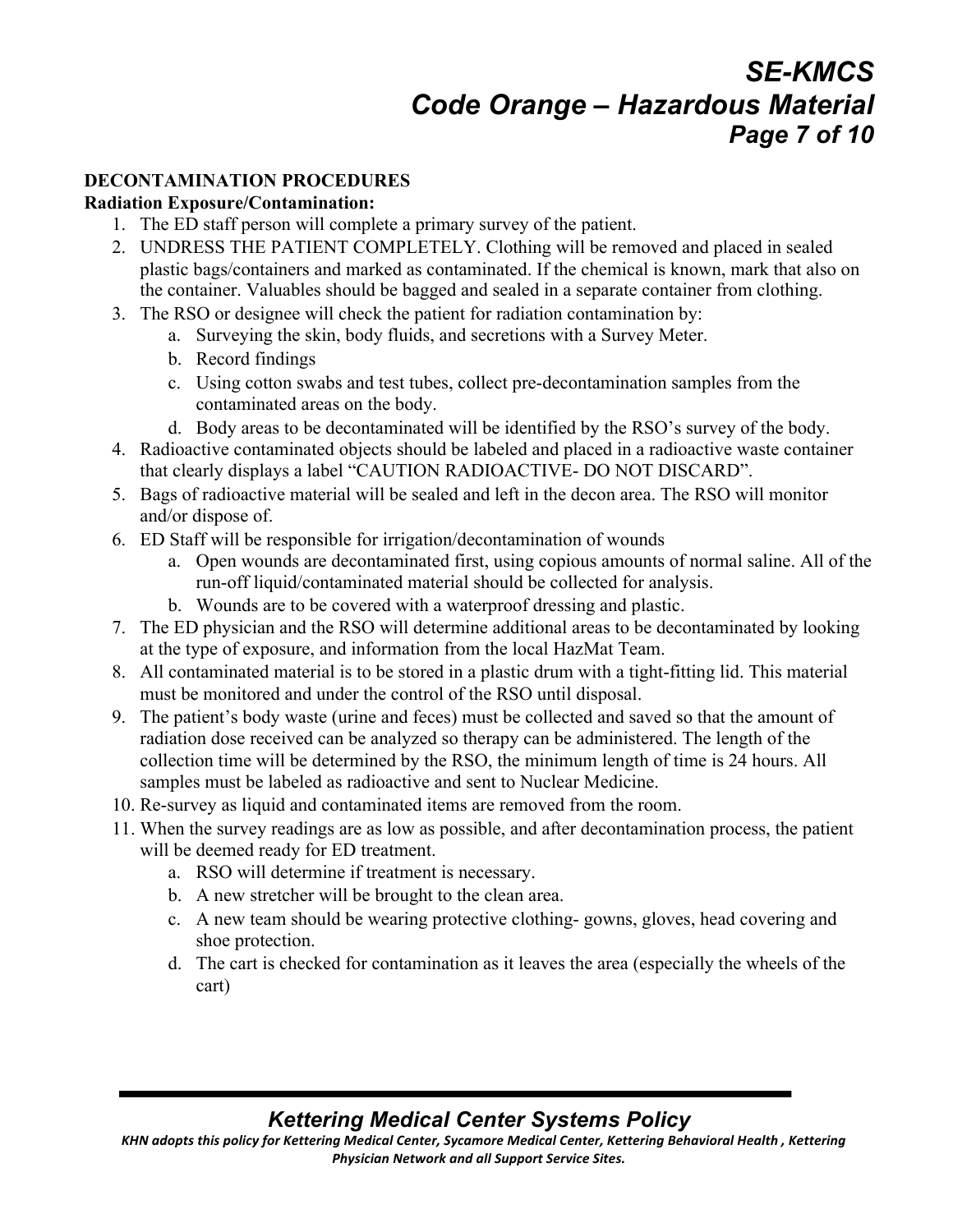# *SE-KMCS Code Orange – Hazardous Material Page 7 of 10*

### **DECONTAMINATION PROCEDURES**

### **Radiation Exposure/Contamination:**

- 1. The ED staff person will complete a primary survey of the patient.
- 2. UNDRESS THE PATIENT COMPLETELY. Clothing will be removed and placed in sealed plastic bags/containers and marked as contaminated. If the chemical is known, mark that also on the container. Valuables should be bagged and sealed in a separate container from clothing.
- 3. The RSO or designee will check the patient for radiation contamination by:
	- a. Surveying the skin, body fluids, and secretions with a Survey Meter.
	- b. Record findings
	- c. Using cotton swabs and test tubes, collect pre-decontamination samples from the contaminated areas on the body.
	- d. Body areas to be decontaminated will be identified by the RSO's survey of the body.
- 4. Radioactive contaminated objects should be labeled and placed in a radioactive waste container that clearly displays a label "CAUTION RADIOACTIVE- DO NOT DISCARD".
- 5. Bags of radioactive material will be sealed and left in the decon area. The RSO will monitor and/or dispose of.
- 6. ED Staff will be responsible for irrigation/decontamination of wounds
	- a. Open wounds are decontaminated first, using copious amounts of normal saline. All of the run-off liquid/contaminated material should be collected for analysis.
	- b. Wounds are to be covered with a waterproof dressing and plastic.
- 7. The ED physician and the RSO will determine additional areas to be decontaminated by looking at the type of exposure, and information from the local HazMat Team.
- 8. All contaminated material is to be stored in a plastic drum with a tight-fitting lid. This material must be monitored and under the control of the RSO until disposal.
- 9. The patient's body waste (urine and feces) must be collected and saved so that the amount of radiation dose received can be analyzed so therapy can be administered. The length of the collection time will be determined by the RSO, the minimum length of time is 24 hours. All samples must be labeled as radioactive and sent to Nuclear Medicine.
- 10. Re-survey as liquid and contaminated items are removed from the room.
- 11. When the survey readings are as low as possible, and after decontamination process, the patient will be deemed ready for ED treatment.
	- a. RSO will determine if treatment is necessary.
	- b. A new stretcher will be brought to the clean area.
	- c. A new team should be wearing protective clothing- gowns, gloves, head covering and shoe protection.
	- d. The cart is checked for contamination as it leaves the area (especially the wheels of the cart)

## *Kettering Medical Center Systems Policy*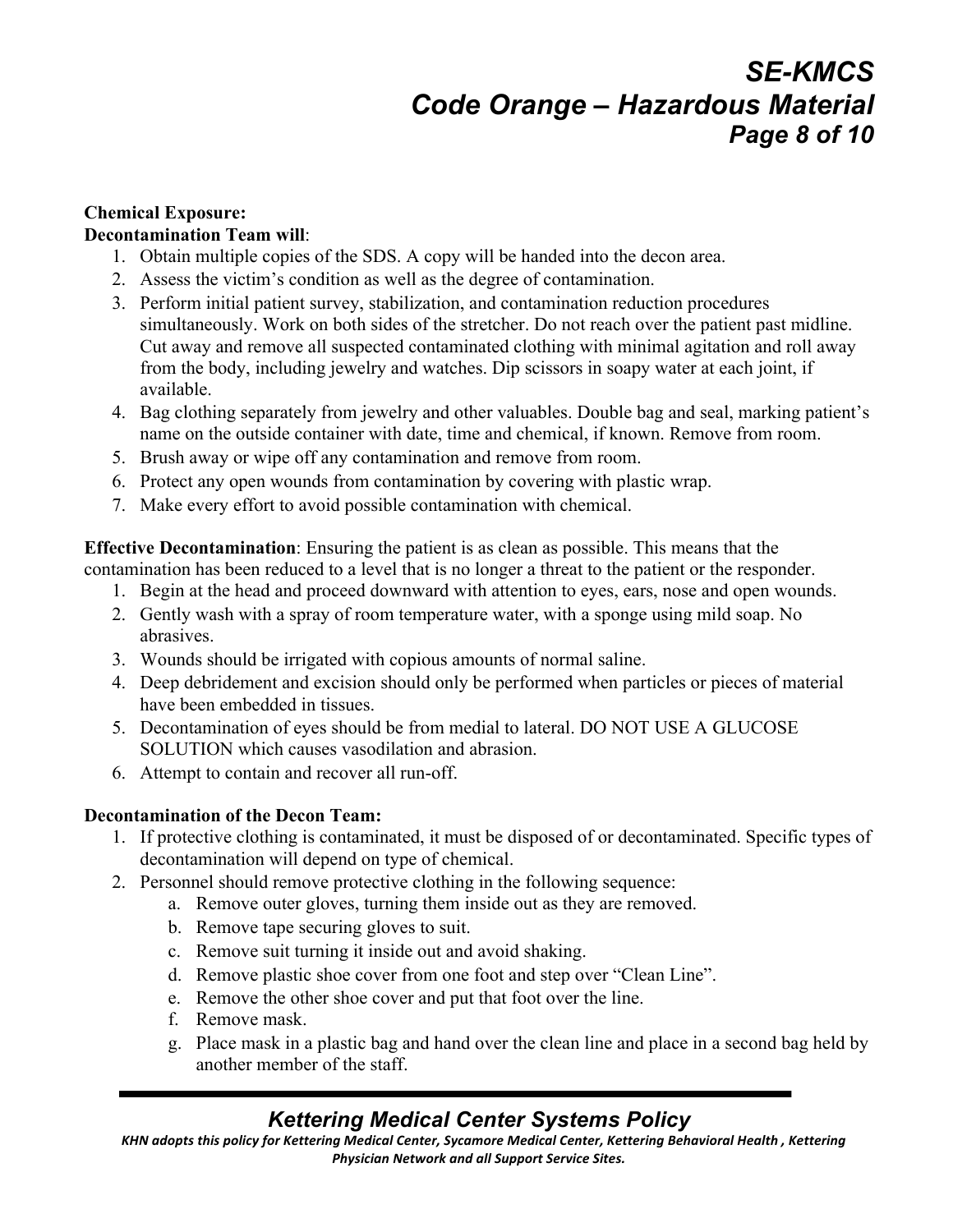# *SE-KMCS Code Orange – Hazardous Material Page 8 of 10*

### **Chemical Exposure:**

#### **Decontamination Team will**:

- 1. Obtain multiple copies of the SDS. A copy will be handed into the decon area.
- 2. Assess the victim's condition as well as the degree of contamination.
- 3. Perform initial patient survey, stabilization, and contamination reduction procedures simultaneously. Work on both sides of the stretcher. Do not reach over the patient past midline. Cut away and remove all suspected contaminated clothing with minimal agitation and roll away from the body, including jewelry and watches. Dip scissors in soapy water at each joint, if available.
- 4. Bag clothing separately from jewelry and other valuables. Double bag and seal, marking patient's name on the outside container with date, time and chemical, if known. Remove from room.
- 5. Brush away or wipe off any contamination and remove from room.
- 6. Protect any open wounds from contamination by covering with plastic wrap.
- 7. Make every effort to avoid possible contamination with chemical.

**Effective Decontamination**: Ensuring the patient is as clean as possible. This means that the contamination has been reduced to a level that is no longer a threat to the patient or the responder.

- 1. Begin at the head and proceed downward with attention to eyes, ears, nose and open wounds.
- 2. Gently wash with a spray of room temperature water, with a sponge using mild soap. No abrasives.
- 3. Wounds should be irrigated with copious amounts of normal saline.
- 4. Deep debridement and excision should only be performed when particles or pieces of material have been embedded in tissues.
- 5. Decontamination of eyes should be from medial to lateral. DO NOT USE A GLUCOSE SOLUTION which causes vasodilation and abrasion.
- 6. Attempt to contain and recover all run-off.

### **Decontamination of the Decon Team:**

- 1. If protective clothing is contaminated, it must be disposed of or decontaminated. Specific types of decontamination will depend on type of chemical.
- 2. Personnel should remove protective clothing in the following sequence:
	- a. Remove outer gloves, turning them inside out as they are removed.
	- b. Remove tape securing gloves to suit.
	- c. Remove suit turning it inside out and avoid shaking.
	- d. Remove plastic shoe cover from one foot and step over "Clean Line".
	- e. Remove the other shoe cover and put that foot over the line.
	- f. Remove mask.
	- g. Place mask in a plastic bag and hand over the clean line and place in a second bag held by another member of the staff.

## *Kettering Medical Center Systems Policy*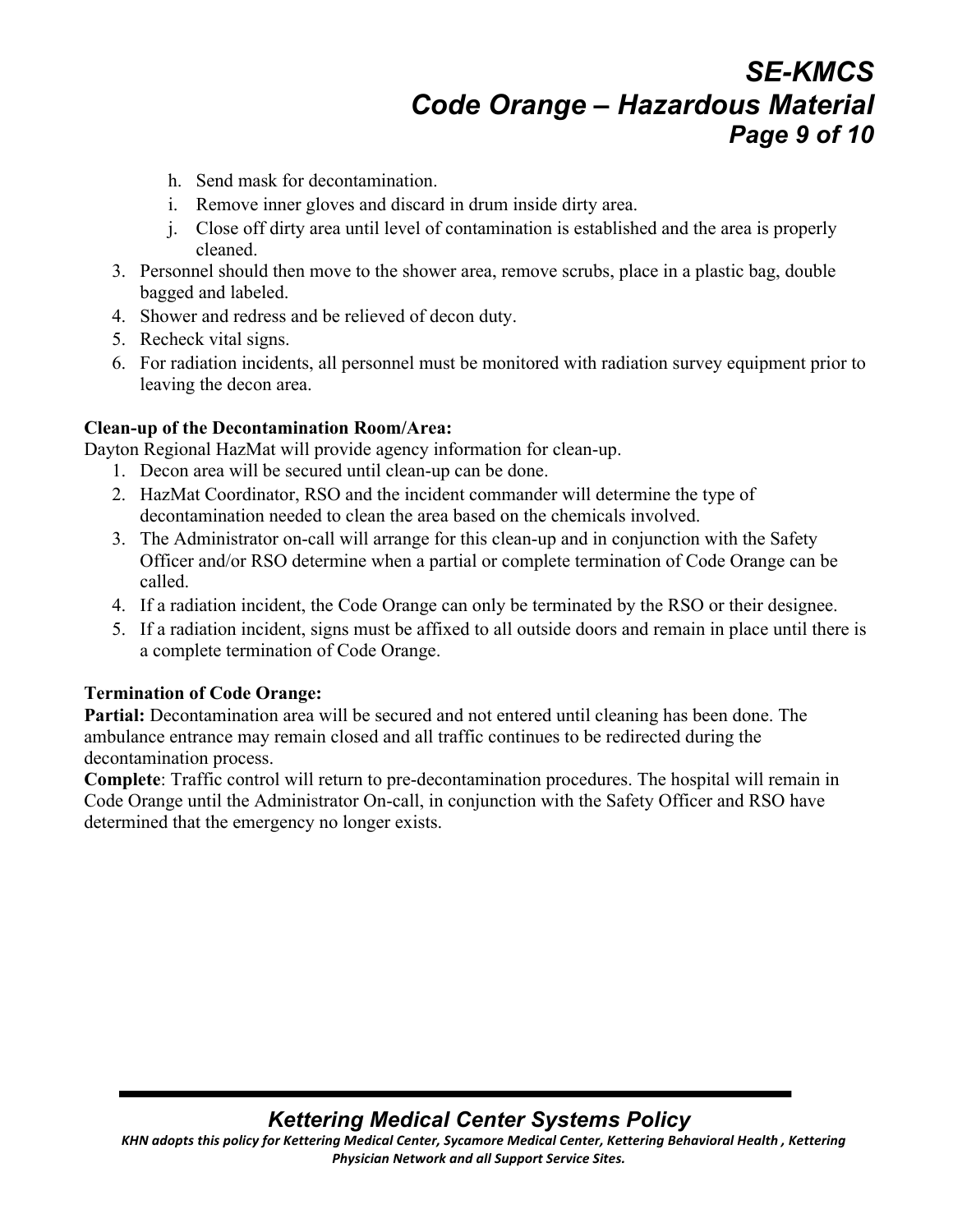# *SE-KMCS Code Orange – Hazardous Material Page 9 of 10*

- h. Send mask for decontamination.
- i. Remove inner gloves and discard in drum inside dirty area.
- j. Close off dirty area until level of contamination is established and the area is properly cleaned.
- 3. Personnel should then move to the shower area, remove scrubs, place in a plastic bag, double bagged and labeled.
- 4. Shower and redress and be relieved of decon duty.
- 5. Recheck vital signs.
- 6. For radiation incidents, all personnel must be monitored with radiation survey equipment prior to leaving the decon area.

#### **Clean-up of the Decontamination Room/Area:**

Dayton Regional HazMat will provide agency information for clean-up.

- 1. Decon area will be secured until clean-up can be done.
- 2. HazMat Coordinator, RSO and the incident commander will determine the type of decontamination needed to clean the area based on the chemicals involved.
- 3. The Administrator on-call will arrange for this clean-up and in conjunction with the Safety Officer and/or RSO determine when a partial or complete termination of Code Orange can be called.
- 4. If a radiation incident, the Code Orange can only be terminated by the RSO or their designee.
- 5. If a radiation incident, signs must be affixed to all outside doors and remain in place until there is a complete termination of Code Orange.

#### **Termination of Code Orange:**

Partial: Decontamination area will be secured and not entered until cleaning has been done. The ambulance entrance may remain closed and all traffic continues to be redirected during the decontamination process.

**Complete**: Traffic control will return to pre-decontamination procedures. The hospital will remain in Code Orange until the Administrator On-call, in conjunction with the Safety Officer and RSO have determined that the emergency no longer exists.

## *Kettering Medical Center Systems Policy*